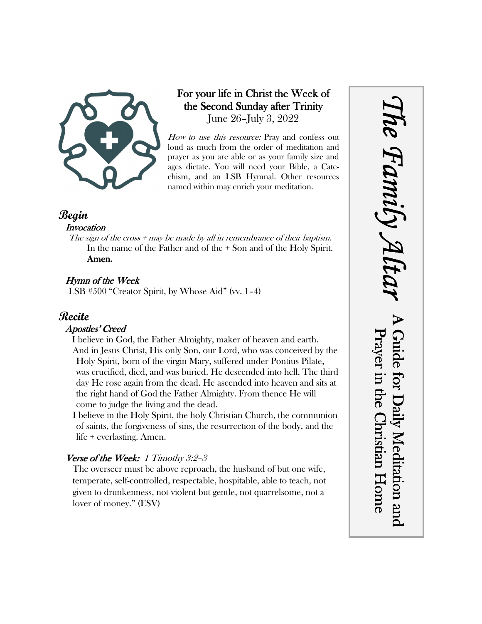

# For your life in Christ the Week of the Second Sunday after Trinity June 26–July 3, 2022

How to use this resource: Pray and confess out loud as much from the order of meditation and prayer as you are able or as your family size and ages dictate. You will need your Bible, a Catechism, and an LSB Hymnal. Other resources named within may enrich your meditation.

*The Family Altar*

he Family A

A Guide for Daily Meditation and Prayer in the Christian Home

Prayer in the Christian Home

Guide for Daily Meditation and

### **Begin**

#### **Invocation**

The sign of the cross  $+$  may be made by all in remembrance of their baptism. In the name of the Father and of the + Son and of the Holy Spirit. Amen.

### Hymn of the Week

LSB #500 "Creator Spirit, by Whose Aid" (vv. 1–4)

## **Recite**

#### Apostles' Creed

I believe in God, the Father Almighty, maker of heaven and earth. And in Jesus Christ, His only Son, our Lord, who was conceived by the Holy Spirit, born of the virgin Mary, suffered under Pontius Pilate, was crucified, died, and was buried. He descended into hell. The third day He rose again from the dead. He ascended into heaven and sits at the right hand of God the Father Almighty. From thence He will come to judge the living and the dead.

I believe in the Holy Spirit, the holy Christian Church, the communion of saints, the forgiveness of sins, the resurrection of the body, and the life + everlasting. Amen.

### Verse of the Week: 1 Timothy 3:2-3

The overseer must be above reproach, the husband of but one wife, temperate, self-controlled, respectable, hospitable, able to teach, not given to drunkenness, not violent but gentle, not quarrelsome, not a lover of money." (ESV)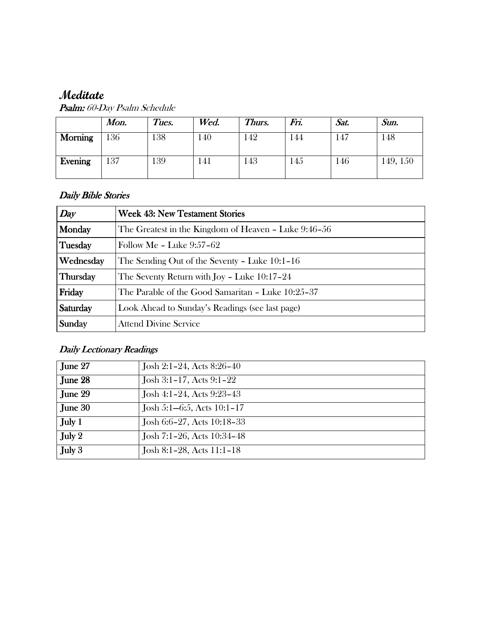# **Meditate**

|         | Mon. | Tues. | Wed.            | Thurs. | Fri. | Sat. | Sun.     |
|---------|------|-------|-----------------|--------|------|------|----------|
| Morning | 136  | 138   | 140             | 42     | 144  | . 47 | 148      |
| Evening | 137  | 139   | $\overline{41}$ | .43    | 145  | 146  | 149, 150 |

Psalm: 60-Day Psalm Schedule

### Daily Bible Stories

| Day       | <b>Week 43: New Testament Stories</b>                |  |  |
|-----------|------------------------------------------------------|--|--|
| Monday    | The Greatest in the Kingdom of Heaven - Luke 9:46-56 |  |  |
| Tuesday   | Follow Me - Luke $9:57-62$                           |  |  |
| Wednesday | The Sending Out of the Seventy – Luke 10:1–16        |  |  |
| Thursday  | The Seventy Return with Joy - Luke 10:17-24          |  |  |
| Friday    | The Parable of the Good Samaritan - Luke 10:25-37    |  |  |
| Saturday  | Look Ahead to Sunday's Readings (see last page)      |  |  |
| Sunday    | <b>Attend Divine Service</b>                         |  |  |

# Daily Lectionary Readings

| June $27$ | Josh 2:1-24, Acts 8:26-40   |
|-----------|-----------------------------|
| June 28   | Josh 3:1-17, Acts 9:1-22    |
| June 29   | Josh 4:1-24, Acts 9:23-43   |
| June $30$ | Josh 5:1-6:5, Acts 10:1-17  |
| July $1$  | Josh 6:6-27, Acts 10:18-33  |
| July $2$  | Josh 7:1-26, Acts 10:34-48  |
| July $3$  | Josh 8:1-28, Acts $11:1-18$ |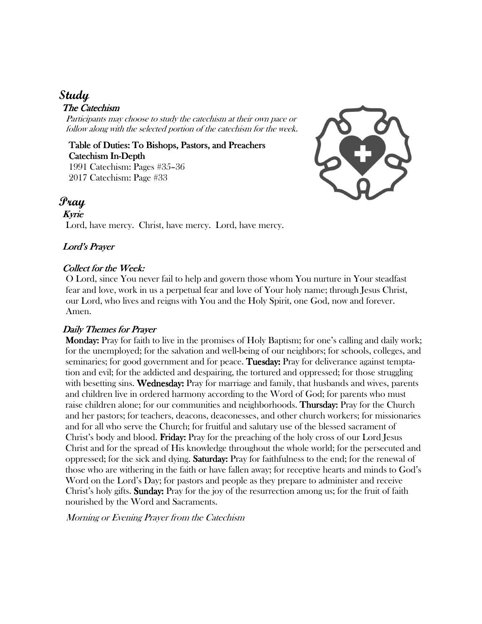# **Study**

#### The Catechism

Participants may choose to study the catechism at their own pace or follow along with the selected portion of the catechism for the week.

Table of Duties: To Bishops, Pastors, and Preachers Catechism In-Depth 1991 Catechism: Pages #35–36 2017 Catechism: Page #33



### **Pray**

#### Kyrie

Lord, have mercy. Christ, have mercy. Lord, have mercy.

#### Lord's Prayer

#### Collect for the Week:

O Lord, since You never fail to help and govern those whom You nurture in Your steadfast fear and love, work in us a perpetual fear and love of Your holy name; through Jesus Christ, our Lord, who lives and reigns with You and the Holy Spirit, one God, now and forever. Amen.

#### Daily Themes for Prayer

 Monday: Monday: Pray for faith to live in the promises of Holy Baptism; for one's calling and daily work; for the unemployed; for the salvation and well-being of our neighbors; for schools, colleges, and seminaries; for good government and for peace. Tuesday: Pray for deliverance against temptation and evil; for the addicted and despairing, the tortured and oppressed; for those struggling with besetting sins. Wednesday: Pray for marriage and family, that husbands and wives, parents and children live in ordered harmony according to the Word of God; for parents who must raise children alone; for our communities and neighborhoods. **Thursday:** Pray for the Church and her pastors; for teachers, deacons, deaconesses, and other church workers; for missionaries and for all who serve the Church; for fruitful and salutary use of the blessed sacrament of Christ's body and blood. **Friday:** Pray for the preaching of the holy cross of our Lord Jesus Christ and for the spread of His knowledge throughout the whole world; for the persecuted and oppressed; for the sick and dying. **Saturday:** Pray for faithfulness to the end; for the renewal of those who are withering in the faith or have fallen away; for receptive hearts and minds to God's Word on the Lord's Day; for pastors and people as they prepare to administer and receive Christ's holy gifts. **Sunday:** Pray for the joy of the resurrection among us; for the fruit of faith nourished by the Word and Sacraments.

Morning or Evening Prayer from the Catechism